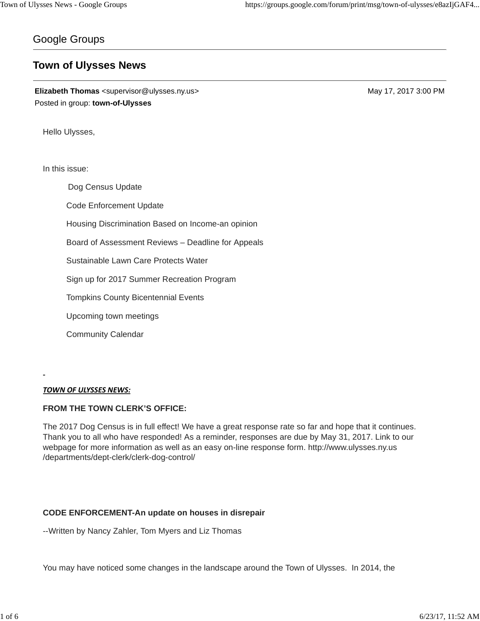# Google Groups

# **Town of Ulysses News**

**Elizabeth Thomas** <supervisor@ulysses.ny.us> May 17, 2017 3:00 PM Posted in group: **town-of-Ulysses**

Hello Ulysses,

In this issue:

Dog Census Update Code Enforcement Update Housing Discrimination Based on Income-an opinion Board of Assessment Reviews – Deadline for Appeals Sustainable Lawn Care Protects Water Sign up for 2017 Summer Recreation Program Tompkins County Bicentennial Events Upcoming town meetings Community Calendar

*TOWN OF ULYSSES NEWS:*

## **FROM THE TOWN CLERK'S OFFICE:**

The 2017 Dog Census is in full effect! We have a great response rate so far and hope that it continues. Thank you to all who have responded! As a reminder, responses are due by May 31, 2017. Link to our webpage for more information as well as an easy on-line response form. http://www.ulysses.ny.us /departments/dept-clerk/clerk-dog-control/

## **CODE ENFORCEMENT-An update on houses in disrepair**

--Written by Nancy Zahler, Tom Myers and Liz Thomas

You may have noticed some changes in the landscape around the Town of Ulysses. In 2014, the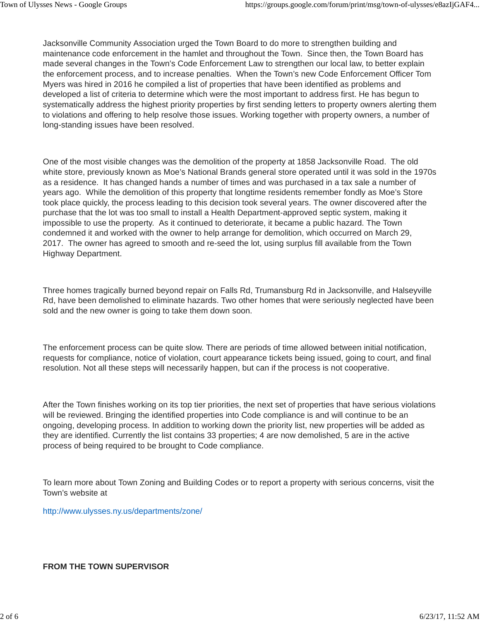Jacksonville Community Association urged the Town Board to do more to strengthen building and maintenance code enforcement in the hamlet and throughout the Town. Since then, the Town Board has made several changes in the Town's Code Enforcement Law to strengthen our local law, to better explain the enforcement process, and to increase penalties. When the Town's new Code Enforcement Officer Tom Myers was hired in 2016 he compiled a list of properties that have been identified as problems and developed a list of criteria to determine which were the most important to address first. He has begun to systematically address the highest priority properties by first sending letters to property owners alerting them to violations and offering to help resolve those issues. Working together with property owners, a number of long-standing issues have been resolved.

One of the most visible changes was the demolition of the property at 1858 Jacksonville Road. The old white store, previously known as Moe's National Brands general store operated until it was sold in the 1970s as a residence. It has changed hands a number of times and was purchased in a tax sale a number of years ago. While the demolition of this property that longtime residents remember fondly as Moe's Store took place quickly, the process leading to this decision took several years. The owner discovered after the purchase that the lot was too small to install a Health Department-approved septic system, making it impossible to use the property. As it continued to deteriorate, it became a public hazard. The Town condemned it and worked with the owner to help arrange for demolition, which occurred on March 29, 2017. The owner has agreed to smooth and re-seed the lot, using surplus fill available from the Town Highway Department.

Three homes tragically burned beyond repair on Falls Rd, Trumansburg Rd in Jacksonville, and Halseyville Rd, have been demolished to eliminate hazards. Two other homes that were seriously neglected have been sold and the new owner is going to take them down soon.

The enforcement process can be quite slow. There are periods of time allowed between initial notification, requests for compliance, notice of violation, court appearance tickets being issued, going to court, and final resolution. Not all these steps will necessarily happen, but can if the process is not cooperative.

After the Town finishes working on its top tier priorities, the next set of properties that have serious violations will be reviewed. Bringing the identified properties into Code compliance is and will continue to be an ongoing, developing process. In addition to working down the priority list, new properties will be added as they are identified. Currently the list contains 33 properties; 4 are now demolished, 5 are in the active process of being required to be brought to Code compliance.

To learn more about Town Zoning and Building Codes or to report a property with serious concerns, visit the Town's website at

http://www.ulysses.ny.us/departments/zone/

## **FROM THE TOWN SUPERVISOR**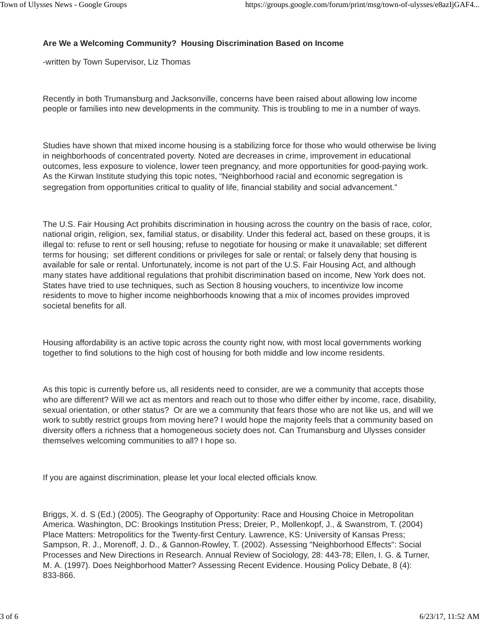# **Are We a Welcoming Community? Housing Discrimination Based on Income**

-written by Town Supervisor, Liz Thomas

Recently in both Trumansburg and Jacksonville, concerns have been raised about allowing low income people or families into new developments in the community. This is troubling to me in a number of ways.

Studies have shown that mixed income housing is a stabilizing force for those who would otherwise be living in neighborhoods of concentrated poverty. Noted are decreases in crime, improvement in educational outcomes, less exposure to violence, lower teen pregnancy, and more opportunities for good-paying work. As the Kirwan Institute studying this topic notes, "Neighborhood racial and economic segregation is segregation from opportunities critical to quality of life, financial stability and social advancement."

The U.S. Fair Housing Act prohibits discrimination in housing across the country on the basis of race, color, national origin, religion, sex, familial status, or disability. Under this federal act, based on these groups, it is illegal to: refuse to rent or sell housing; refuse to negotiate for housing or make it unavailable; set different terms for housing; set different conditions or privileges for sale or rental; or falsely deny that housing is available for sale or rental. Unfortunately, income is not part of the U.S. Fair Housing Act, and although many states have additional regulations that prohibit discrimination based on income, New York does not. States have tried to use techniques, such as Section 8 housing vouchers, to incentivize low income residents to move to higher income neighborhoods knowing that a mix of incomes provides improved societal benefits for all.

Housing affordability is an active topic across the county right now, with most local governments working together to find solutions to the high cost of housing for both middle and low income residents.

As this topic is currently before us, all residents need to consider, are we a community that accepts those who are different? Will we act as mentors and reach out to those who differ either by income, race, disability, sexual orientation, or other status? Or are we a community that fears those who are not like us, and will we work to subtly restrict groups from moving here? I would hope the majority feels that a community based on diversity offers a richness that a homogeneous society does not. Can Trumansburg and Ulysses consider themselves welcoming communities to all? I hope so.

If you are against discrimination, please let your local elected officials know.

Briggs, X. d. S (Ed.) (2005). The Geography of Opportunity: Race and Housing Choice in Metropolitan America. Washington, DC: Brookings Institution Press; Dreier, P., Mollenkopf, J., & Swanstrom, T. (2004) Place Matters: Metropolitics for the Twenty-first Century. Lawrence, KS: University of Kansas Press; Sampson, R. J., Morenoff, J. D., & Gannon-Rowley, T. (2002). Assessing "Neighborhood Effects": Social Processes and New Directions in Research. Annual Review of Sociology, 28: 443-78; Ellen, I. G. & Turner, M. A. (1997). Does Neighborhood Matter? Assessing Recent Evidence. Housing Policy Debate, 8 (4): 833-866.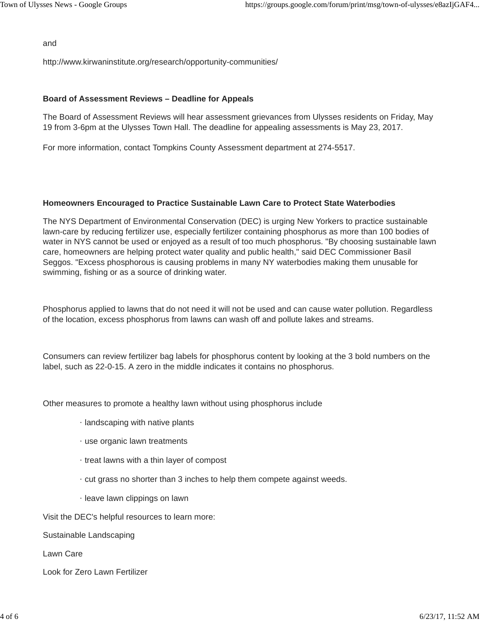and

http://www.kirwaninstitute.org/research/opportunity-communities/

#### **Board of Assessment Reviews – Deadline for Appeals**

The Board of Assessment Reviews will hear assessment grievances from Ulysses residents on Friday, May 19 from 3-6pm at the Ulysses Town Hall. The deadline for appealing assessments is May 23, 2017.

For more information, contact Tompkins County Assessment department at 274-5517.

#### **Homeowners Encouraged to Practice Sustainable Lawn Care to Protect State Waterbodies**

The NYS Department of Environmental Conservation (DEC) is urging New Yorkers to practice sustainable lawn-care by reducing fertilizer use, especially fertilizer containing phosphorus as more than 100 bodies of water in NYS cannot be used or enjoyed as a result of too much phosphorus. "By choosing sustainable lawn care, homeowners are helping protect water quality and public health," said DEC Commissioner Basil Seggos. "Excess phosphorous is causing problems in many NY waterbodies making them unusable for swimming, fishing or as a source of drinking water.

Phosphorus applied to lawns that do not need it will not be used and can cause water pollution. Regardless of the location, excess phosphorus from lawns can wash off and pollute lakes and streams.

Consumers can review fertilizer bag labels for phosphorus content by looking at the 3 bold numbers on the label, such as 22-0-15. A zero in the middle indicates it contains no phosphorus.

Other measures to promote a healthy lawn without using phosphorus include

- · landscaping with native plants
- · use organic lawn treatments
- · treat lawns with a thin layer of compost
- · cut grass no shorter than 3 inches to help them compete against weeds.
- · leave lawn clippings on lawn

Visit the DEC's helpful resources to learn more:

Sustainable Landscaping

Lawn Care

Look for Zero Lawn Fertilizer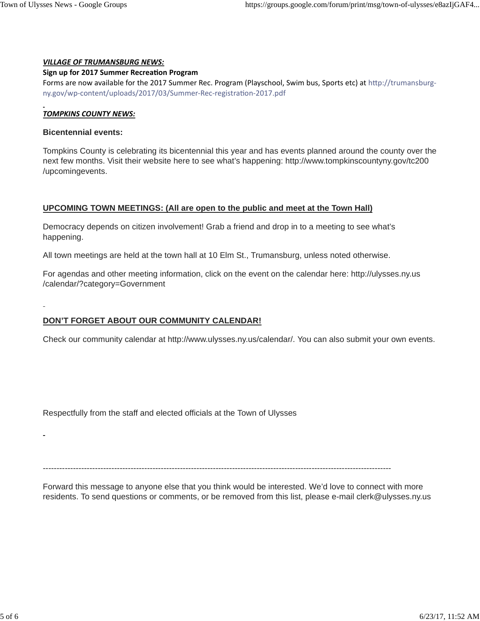#### *VILLAGE OF TRUMANSBURG NEWS:*

#### **Sign up for 2017 Summer Recreation Program**

Forms are now available for the 2017 Summer Rec. Program (Playschool, Swim bus, Sports etc) at http://trumansburgny.gov/wp-content/uploads/2017/03/Summer-Rec-registration-2017.pdf

## *TOMPKINS COUNTY NEWS:*

#### **Bicentennial events:**

Tompkins County is celebrating its bicentennial this year and has events planned around the county over the next few months. Visit their website here to see what's happening: http://www.tompkinscountyny.gov/tc200 /upcomingevents.

## **UPCOMING TOWN MEETINGS: (All are open to the public and meet at the Town Hall)**

Democracy depends on citizen involvement! Grab a friend and drop in to a meeting to see what's happening.

All town meetings are held at the town hall at 10 Elm St., Trumansburg, unless noted otherwise.

For agendas and other meeting information, click on the event on the calendar here: http://ulysses.ny.us /calendar/?category=Government

# **DON'T FORGET ABOUT OUR COMMUNITY CALENDAR!**

Check our community calendar at http://www.ulysses.ny.us/calendar/. You can also submit your own events.

Respectfully from the staff and elected officials at the Town of Ulysses

-------------------------------------------------------------------------------------------------------------------------------

Forward this message to anyone else that you think would be interested. We'd love to connect with more residents. To send questions or comments, or be removed from this list, please e-mail clerk@ulysses.ny.us